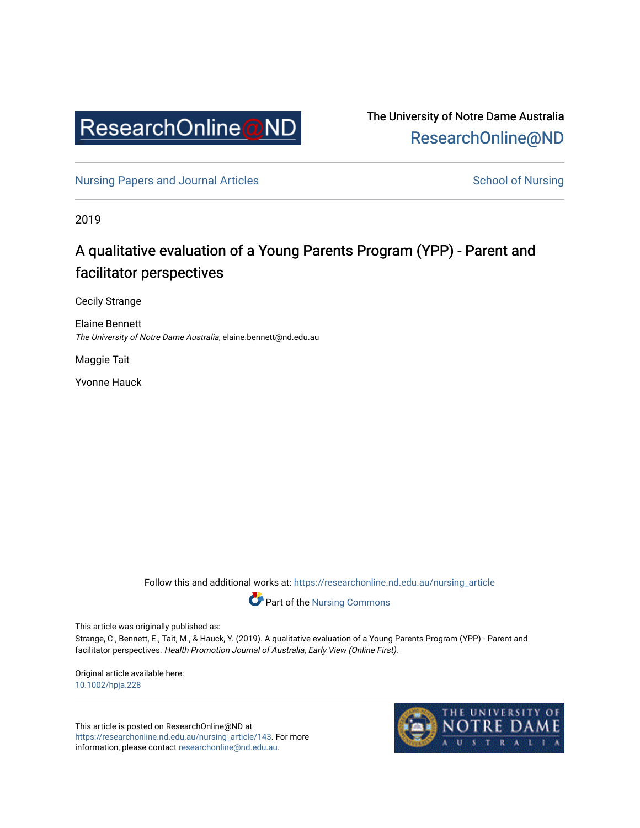

The University of Notre Dame Australia [ResearchOnline@ND](https://researchonline.nd.edu.au/) 

[Nursing Papers and Journal Articles](https://researchonline.nd.edu.au/nursing_article) **School of Nursing** School of Nursing

2019

# A qualitative evaluation of a Young Parents Program (YPP) - Parent and facilitator perspectives

Cecily Strange

Elaine Bennett The University of Notre Dame Australia, elaine.bennett@nd.edu.au

Maggie Tait

Yvonne Hauck

Follow this and additional works at: [https://researchonline.nd.edu.au/nursing\\_article](https://researchonline.nd.edu.au/nursing_article?utm_source=researchonline.nd.edu.au%2Fnursing_article%2F143&utm_medium=PDF&utm_campaign=PDFCoverPages) 



Part of the [Nursing Commons](http://network.bepress.com/hgg/discipline/718?utm_source=researchonline.nd.edu.au%2Fnursing_article%2F143&utm_medium=PDF&utm_campaign=PDFCoverPages) 

This article was originally published as:

Strange, C., Bennett, E., Tait, M., & Hauck, Y. (2019). A qualitative evaluation of a Young Parents Program (YPP) - Parent and facilitator perspectives. Health Promotion Journal of Australia, Early View (Online First).

Original article available here: [10.1002/hpja.228](https://doi.org/10.1002/hpja.228)

This article is posted on ResearchOnline@ND at [https://researchonline.nd.edu.au/nursing\\_article/143.](https://researchonline.nd.edu.au/nursing_article/143) For more information, please contact [researchonline@nd.edu.au.](mailto:researchonline@nd.edu.au)

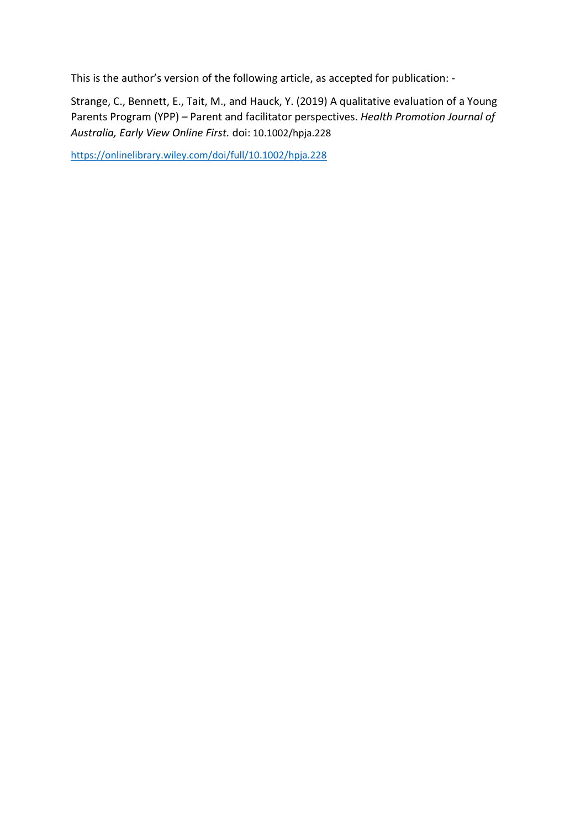This is the author's version of the following article, as accepted for publication: -

Strange, C., Bennett, E., Tait, M., and Hauck, Y. (2019) A qualitative evaluation of a Young Parents Program (YPP) – Parent and facilitator perspectives. *Health Promotion Journal of Australia, Early View Online First.* doi: 10.1002/hpja.228

<https://onlinelibrary.wiley.com/doi/full/10.1002/hpja.228>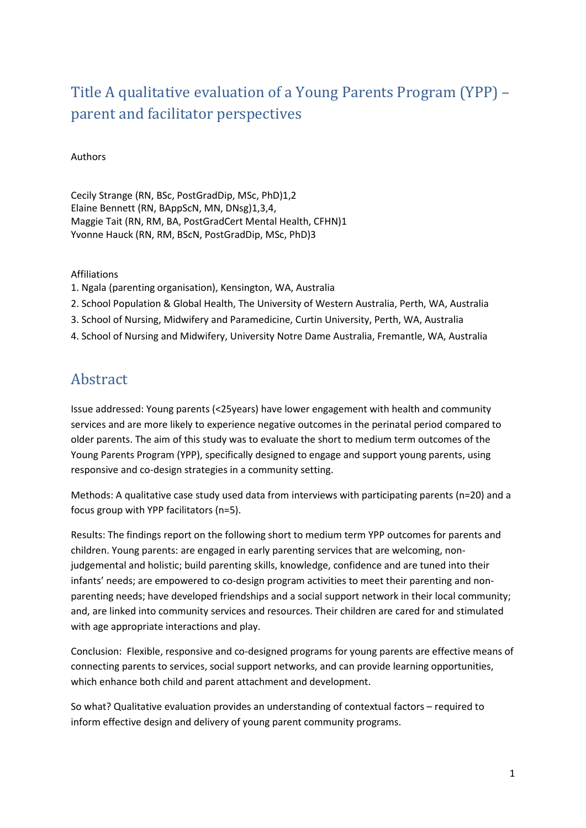# Title A qualitative evaluation of a Young Parents Program (YPP) – parent and facilitator perspectives

#### Authors

Cecily Strange (RN, BSc, PostGradDip, MSc, PhD)1,2 Elaine Bennett (RN, BAppScN, MN, DNsg)1,3,4, Maggie Tait (RN, RM, BA, PostGradCert Mental Health, CFHN)1 Yvonne Hauck (RN, RM, BScN, PostGradDip, MSc, PhD)3

#### Affiliations

- 1. Ngala (parenting organisation), Kensington, WA, Australia
- 2. School Population & Global Health, The University of Western Australia, Perth, WA, Australia
- 3. School of Nursing, Midwifery and Paramedicine, Curtin University, Perth, WA, Australia
- 4. School of Nursing and Midwifery, University Notre Dame Australia, Fremantle, WA, Australia

# Abstract

Issue addressed: Young parents (<25years) have lower engagement with health and community services and are more likely to experience negative outcomes in the perinatal period compared to older parents. The aim of this study was to evaluate the short to medium term outcomes of the Young Parents Program (YPP), specifically designed to engage and support young parents, using responsive and co-design strategies in a community setting.

Methods: A qualitative case study used data from interviews with participating parents (n=20) and a focus group with YPP facilitators (n=5).

Results: The findings report on the following short to medium term YPP outcomes for parents and children. Young parents: are engaged in early parenting services that are welcoming, nonjudgemental and holistic; build parenting skills, knowledge, confidence and are tuned into their infants' needs; are empowered to co-design program activities to meet their parenting and nonparenting needs; have developed friendships and a social support network in their local community; and, are linked into community services and resources. Their children are cared for and stimulated with age appropriate interactions and play.

Conclusion: Flexible, responsive and co-designed programs for young parents are effective means of connecting parents to services, social support networks, and can provide learning opportunities, which enhance both child and parent attachment and development.

So what? Qualitative evaluation provides an understanding of contextual factors – required to inform effective design and delivery of young parent community programs.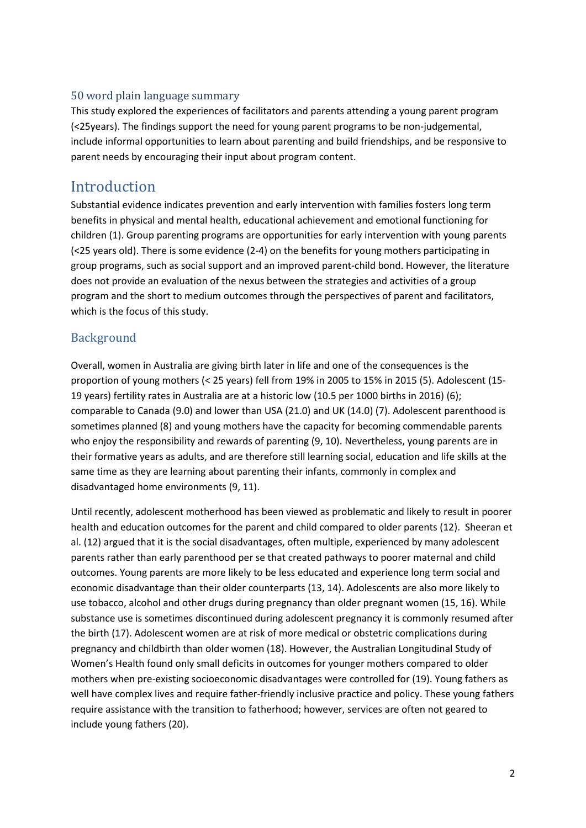#### 50 word plain language summary

This study explored the experiences of facilitators and parents attending a young parent program (<25years). The findings support the need for young parent programs to be non-judgemental, include informal opportunities to learn about parenting and build friendships, and be responsive to parent needs by encouraging their input about program content.

## Introduction

Substantial evidence indicates prevention and early intervention with families fosters long term benefits in physical and mental health, educational achievement and emotional functioning for children (1). Group parenting programs are opportunities for early intervention with young parents (<25 years old). There is some evidence (2-4) on the benefits for young mothers participating in group programs, such as social support and an improved parent-child bond. However, the literature does not provide an evaluation of the nexus between the strategies and activities of a group program and the short to medium outcomes through the perspectives of parent and facilitators, which is the focus of this study.

### **Background**

Overall, women in Australia are giving birth later in life and one of the consequences is the proportion of young mothers (< 25 years) fell from 19% in 2005 to 15% in 2015 (5). Adolescent (15- 19 years) fertility rates in Australia are at a historic low (10.5 per 1000 births in 2016) (6); comparable to Canada (9.0) and lower than USA (21.0) and UK (14.0) (7). Adolescent parenthood is sometimes planned (8) and young mothers have the capacity for becoming commendable parents who enjoy the responsibility and rewards of parenting (9, 10). Nevertheless, young parents are in their formative years as adults, and are therefore still learning social, education and life skills at the same time as they are learning about parenting their infants, commonly in complex and disadvantaged home environments (9, 11).

Until recently, adolescent motherhood has been viewed as problematic and likely to result in poorer health and education outcomes for the parent and child compared to older parents (12). Sheeran et al. (12) argued that it is the social disadvantages, often multiple, experienced by many adolescent parents rather than early parenthood per se that created pathways to poorer maternal and child outcomes. Young parents are more likely to be less educated and experience long term social and economic disadvantage than their older counterparts (13, 14). Adolescents are also more likely to use tobacco, alcohol and other drugs during pregnancy than older pregnant women (15, 16). While substance use is sometimes discontinued during adolescent pregnancy it is commonly resumed after the birth (17). Adolescent women are at risk of more medical or obstetric complications during pregnancy and childbirth than older women (18). However, the Australian Longitudinal Study of Women's Health found only small deficits in outcomes for younger mothers compared to older mothers when pre-existing socioeconomic disadvantages were controlled for (19). Young fathers as well have complex lives and require father-friendly inclusive practice and policy. These young fathers require assistance with the transition to fatherhood; however, services are often not geared to include young fathers (20).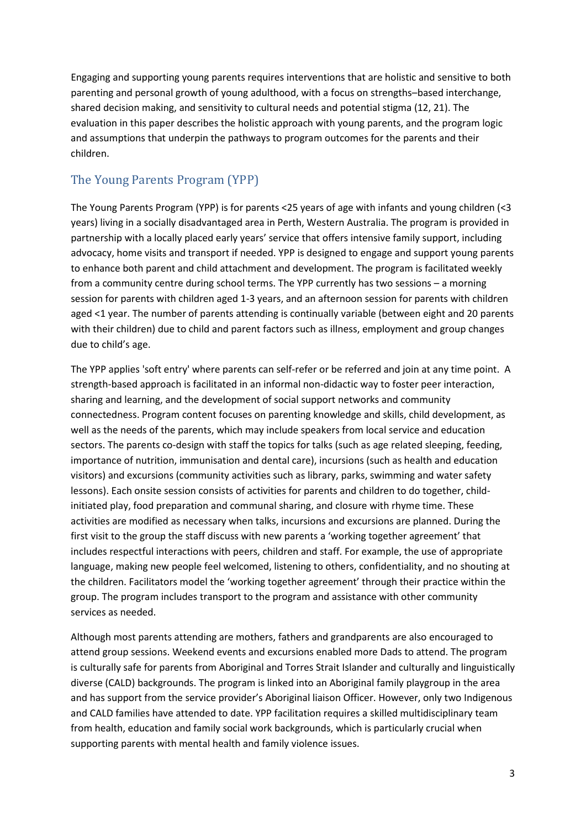Engaging and supporting young parents requires interventions that are holistic and sensitive to both parenting and personal growth of young adulthood, with a focus on strengths–based interchange, shared decision making, and sensitivity to cultural needs and potential stigma (12, 21). The evaluation in this paper describes the holistic approach with young parents, and the program logic and assumptions that underpin the pathways to program outcomes for the parents and their children.

### The Young Parents Program (YPP)

The Young Parents Program (YPP) is for parents <25 years of age with infants and young children (<3 years) living in a socially disadvantaged area in Perth, Western Australia. The program is provided in partnership with a locally placed early years' service that offers intensive family support, including advocacy, home visits and transport if needed. YPP is designed to engage and support young parents to enhance both parent and child attachment and development. The program is facilitated weekly from a community centre during school terms. The YPP currently has two sessions – a morning session for parents with children aged 1-3 years, and an afternoon session for parents with children aged <1 year. The number of parents attending is continually variable (between eight and 20 parents with their children) due to child and parent factors such as illness, employment and group changes due to child's age.

The YPP applies 'soft entry' where parents can self-refer or be referred and join at any time point. A strength-based approach is facilitated in an informal non-didactic way to foster peer interaction, sharing and learning, and the development of social support networks and community connectedness. Program content focuses on parenting knowledge and skills, child development, as well as the needs of the parents, which may include speakers from local service and education sectors. The parents co-design with staff the topics for talks (such as age related sleeping, feeding, importance of nutrition, immunisation and dental care), incursions (such as health and education visitors) and excursions (community activities such as library, parks, swimming and water safety lessons). Each onsite session consists of activities for parents and children to do together, childinitiated play, food preparation and communal sharing, and closure with rhyme time. These activities are modified as necessary when talks, incursions and excursions are planned. During the first visit to the group the staff discuss with new parents a 'working together agreement' that includes respectful interactions with peers, children and staff. For example, the use of appropriate language, making new people feel welcomed, listening to others, confidentiality, and no shouting at the children. Facilitators model the 'working together agreement' through their practice within the group. The program includes transport to the program and assistance with other community services as needed.

Although most parents attending are mothers, fathers and grandparents are also encouraged to attend group sessions. Weekend events and excursions enabled more Dads to attend. The program is culturally safe for parents from Aboriginal and Torres Strait Islander and culturally and linguistically diverse (CALD) backgrounds. The program is linked into an Aboriginal family playgroup in the area and has support from the service provider's Aboriginal liaison Officer. However, only two Indigenous and CALD families have attended to date. YPP facilitation requires a skilled multidisciplinary team from health, education and family social work backgrounds, which is particularly crucial when supporting parents with mental health and family violence issues.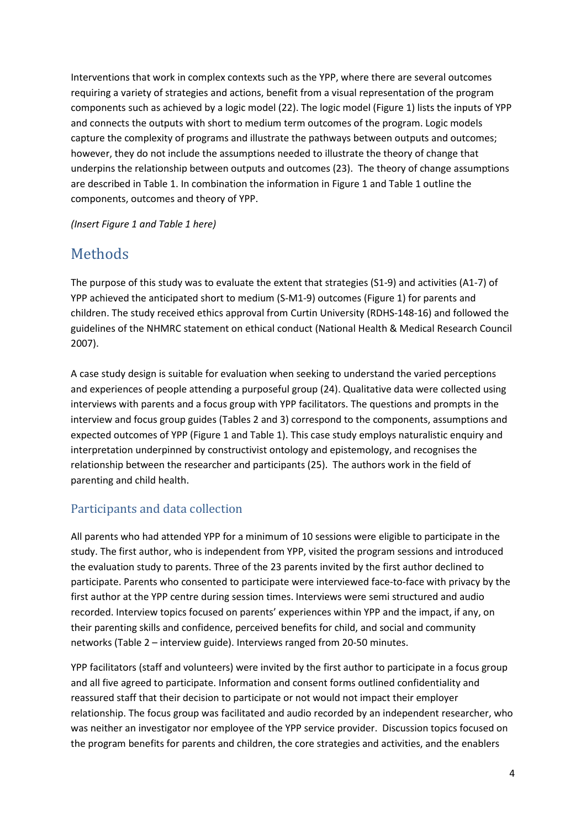Interventions that work in complex contexts such as the YPP, where there are several outcomes requiring a variety of strategies and actions, benefit from a visual representation of the program components such as achieved by a logic model (22). The logic model (Figure 1) lists the inputs of YPP and connects the outputs with short to medium term outcomes of the program. Logic models capture the complexity of programs and illustrate the pathways between outputs and outcomes; however, they do not include the assumptions needed to illustrate the theory of change that underpins the relationship between outputs and outcomes (23). The theory of change assumptions are described in Table 1. In combination the information in Figure 1 and Table 1 outline the components, outcomes and theory of YPP.

*(Insert Figure 1 and Table 1 here)*

## Methods

The purpose of this study was to evaluate the extent that strategies (S1-9) and activities (A1-7) of YPP achieved the anticipated short to medium (S-M1-9) outcomes (Figure 1) for parents and children. The study received ethics approval from Curtin University (RDHS-148-16) and followed the guidelines of the NHMRC statement on ethical conduct (National Health & Medical Research Council 2007).

A case study design is suitable for evaluation when seeking to understand the varied perceptions and experiences of people attending a purposeful group (24). Qualitative data were collected using interviews with parents and a focus group with YPP facilitators. The questions and prompts in the interview and focus group guides (Tables 2 and 3) correspond to the components, assumptions and expected outcomes of YPP (Figure 1 and Table 1). This case study employs naturalistic enquiry and interpretation underpinned by constructivist ontology and epistemology, and recognises the relationship between the researcher and participants (25). The authors work in the field of parenting and child health.

### Participants and data collection

All parents who had attended YPP for a minimum of 10 sessions were eligible to participate in the study. The first author, who is independent from YPP, visited the program sessions and introduced the evaluation study to parents. Three of the 23 parents invited by the first author declined to participate. Parents who consented to participate were interviewed face-to-face with privacy by the first author at the YPP centre during session times. Interviews were semi structured and audio recorded. Interview topics focused on parents' experiences within YPP and the impact, if any, on their parenting skills and confidence, perceived benefits for child, and social and community networks (Table 2 – interview guide). Interviews ranged from 20-50 minutes.

YPP facilitators (staff and volunteers) were invited by the first author to participate in a focus group and all five agreed to participate. Information and consent forms outlined confidentiality and reassured staff that their decision to participate or not would not impact their employer relationship. The focus group was facilitated and audio recorded by an independent researcher, who was neither an investigator nor employee of the YPP service provider. Discussion topics focused on the program benefits for parents and children, the core strategies and activities, and the enablers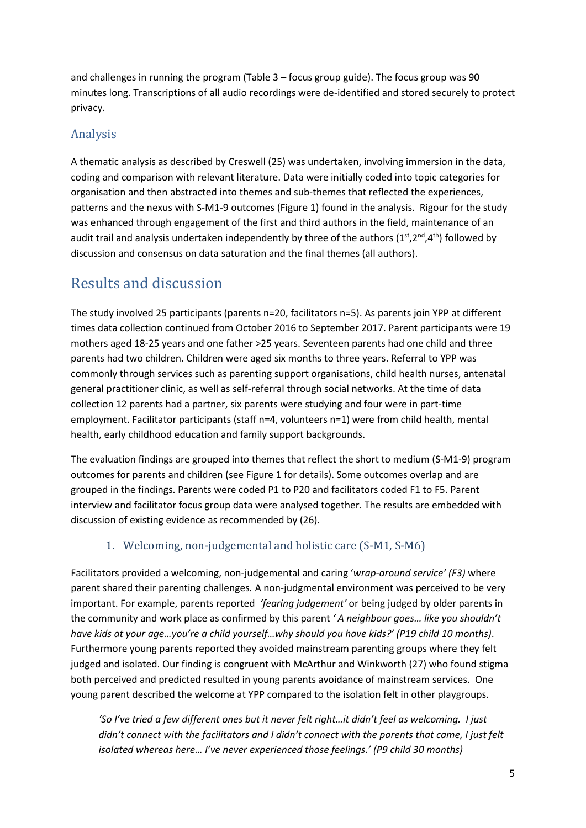and challenges in running the program (Table 3 – focus group guide). The focus group was 90 minutes long. Transcriptions of all audio recordings were de-identified and stored securely to protect privacy.

### Analysis

A thematic analysis as described by Creswell (25) was undertaken, involving immersion in the data, coding and comparison with relevant literature. Data were initially coded into topic categories for organisation and then abstracted into themes and sub-themes that reflected the experiences, patterns and the nexus with S-M1-9 outcomes (Figure 1) found in the analysis. Rigour for the study was enhanced through engagement of the first and third authors in the field, maintenance of an audit trail and analysis undertaken independently by three of the authors ( $1^{st}, 2^{nd}, 4^{th}$ ) followed by discussion and consensus on data saturation and the final themes (all authors).

# Results and discussion

The study involved 25 participants (parents n=20, facilitators n=5). As parents join YPP at different times data collection continued from October 2016 to September 2017. Parent participants were 19 mothers aged 18-25 years and one father >25 years. Seventeen parents had one child and three parents had two children. Children were aged six months to three years. Referral to YPP was commonly through services such as parenting support organisations, child health nurses, antenatal general practitioner clinic, as well as self-referral through social networks. At the time of data collection 12 parents had a partner, six parents were studying and four were in part-time employment. Facilitator participants (staff n=4, volunteers n=1) were from child health, mental health, early childhood education and family support backgrounds.

The evaluation findings are grouped into themes that reflect the short to medium (S-M1-9) program outcomes for parents and children (see Figure 1 for details). Some outcomes overlap and are grouped in the findings. Parents were coded P1 to P20 and facilitators coded F1 to F5. Parent interview and facilitator focus group data were analysed together. The results are embedded with discussion of existing evidence as recommended by (26).

### 1. Welcoming, non-judgemental and holistic care (S-M1, S-M6)

Facilitators provided a welcoming, non-judgemental and caring '*wrap-around service' (F3)* where parent shared their parenting challenges*.* A non-judgmental environment was perceived to be very important. For example, parents reported *'fearing judgement'* or being judged by older parents in the community and work place as confirmed by this parent *' A neighbour goes… like you shouldn't have kids at your age…you're a child yourself…why should you have kids?' (P19 child 10 months)*. Furthermore young parents reported they avoided mainstream parenting groups where they felt judged and isolated. Our finding is congruent with McArthur and Winkworth (27) who found stigma both perceived and predicted resulted in young parents avoidance of mainstream services. One young parent described the welcome at YPP compared to the isolation felt in other playgroups.

*'So I've tried a few different ones but it never felt right…it didn't feel as welcoming. I just didn't connect with the facilitators and I didn't connect with the parents that came, I just felt isolated whereas here… I've never experienced those feelings.' (P9 child 30 months)*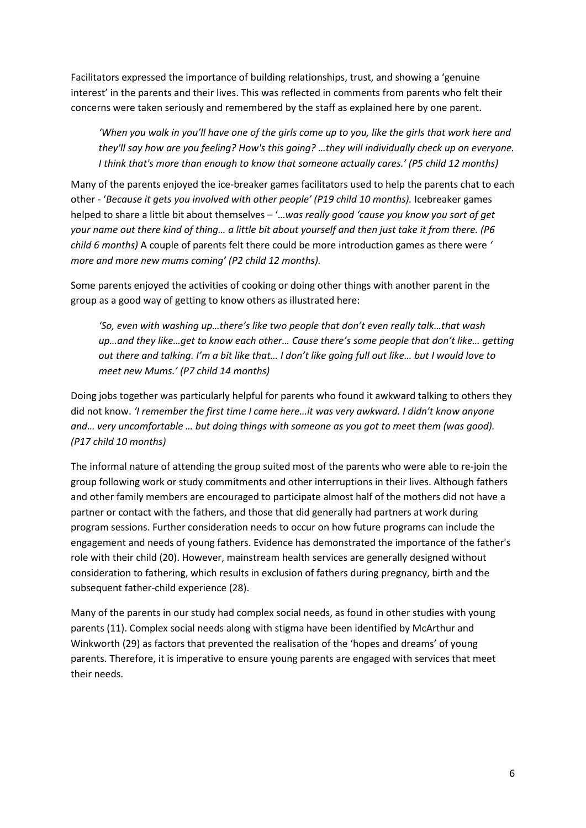Facilitators expressed the importance of building relationships, trust, and showing a 'genuine interest' in the parents and their lives. This was reflected in comments from parents who felt their concerns were taken seriously and remembered by the staff as explained here by one parent.

*'When you walk in you'll have one of the girls come up to you, like the girls that work here and they'll say how are you feeling? How's this going? …they will individually check up on everyone. I think that's more than enough to know that someone actually cares.' (P5 child 12 months)*

Many of the parents enjoyed the ice-breaker games facilitators used to help the parents chat to each other - '*Because it gets you involved with other people' (P19 child 10 months).* Icebreaker games helped to share a little bit about themselves – '…*was really good 'cause you know you sort of get your name out there kind of thing… a little bit about yourself and then just take it from there. (P6 child 6 months)* A couple of parents felt there could be more introduction games as there were *' more and more new mums coming' (P2 child 12 months).*

Some parents enjoyed the activities of cooking or doing other things with another parent in the group as a good way of getting to know others as illustrated here:

*'So, even with washing up…there's like two people that don't even really talk…that wash up…and they like…get to know each other… Cause there's some people that don't like… getting out there and talking. I'm a bit like that… I don't like going full out like… but I would love to meet new Mums.' (P7 child 14 months)* 

Doing jobs together was particularly helpful for parents who found it awkward talking to others they did not know. *'I remember the first time I came here…it was very awkward. I didn't know anyone and… very uncomfortable … but doing things with someone as you got to meet them (was good). (P17 child 10 months)*

The informal nature of attending the group suited most of the parents who were able to re-join the group following work or study commitments and other interruptions in their lives. Although fathers and other family members are encouraged to participate almost half of the mothers did not have a partner or contact with the fathers, and those that did generally had partners at work during program sessions. Further consideration needs to occur on how future programs can include the engagement and needs of young fathers. Evidence has demonstrated the importance of the father's role with their child (20). However, mainstream health services are generally designed without consideration to fathering, which results in exclusion of fathers during pregnancy, birth and the subsequent father-child experience (28).

Many of the parents in our study had complex social needs, as found in other studies with young parents (11). Complex social needs along with stigma have been identified by McArthur and Winkworth (29) as factors that prevented the realisation of the 'hopes and dreams' of young parents. Therefore, it is imperative to ensure young parents are engaged with services that meet their needs.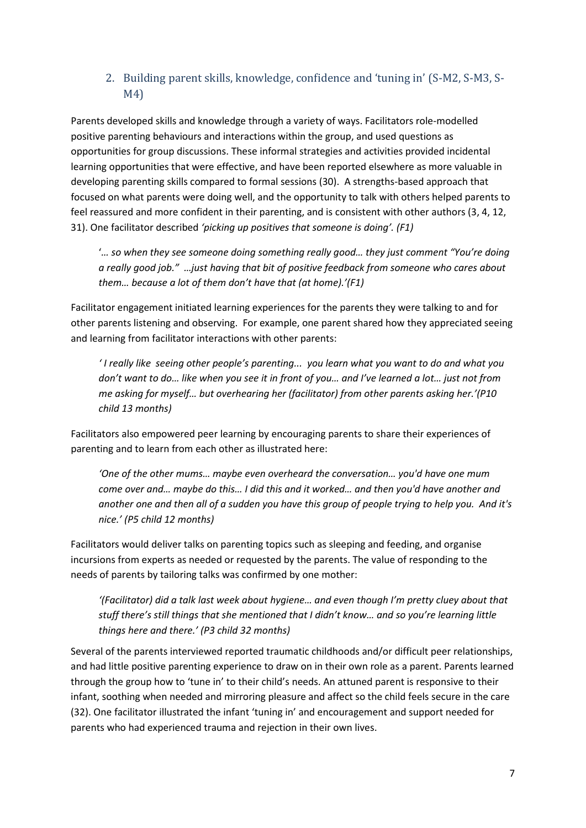### 2. Building parent skills, knowledge, confidence and 'tuning in' (S-M2, S-M3, S-M4)

Parents developed skills and knowledge through a variety of ways. Facilitators role-modelled positive parenting behaviours and interactions within the group, and used questions as opportunities for group discussions. These informal strategies and activities provided incidental learning opportunities that were effective, and have been reported elsewhere as more valuable in developing parenting skills compared to formal sessions (30). A strengths-based approach that focused on what parents were doing well, and the opportunity to talk with others helped parents to feel reassured and more confident in their parenting, and is consistent with other authors (3, 4, 12, 31). One facilitator described *'picking up positives that someone is doing'. (F1)*

'*… so when they see someone doing something really good… they just comment "You're doing a really good job." …just having that bit of positive feedback from someone who cares about them… because a lot of them don't have that (at home).'(F1)*

Facilitator engagement initiated learning experiences for the parents they were talking to and for other parents listening and observing. For example, one parent shared how they appreciated seeing and learning from facilitator interactions with other parents:

*' I really like seeing other people's parenting... you learn what you want to do and what you don't want to do… like when you see it in front of you… and I've learned a lot… just not from me asking for myself… but overhearing her (facilitator) from other parents asking her.'(P10 child 13 months)*

Facilitators also empowered peer learning by encouraging parents to share their experiences of parenting and to learn from each other as illustrated here:

*'One of the other mums… maybe even overheard the conversation… you'd have one mum come over and… maybe do this… I did this and it worked… and then you'd have another and another one and then all of a sudden you have this group of people trying to help you. And it's nice.' (P5 child 12 months)*

Facilitators would deliver talks on parenting topics such as sleeping and feeding, and organise incursions from experts as needed or requested by the parents. The value of responding to the needs of parents by tailoring talks was confirmed by one mother:

*'(Facilitator) did a talk last week about hygiene… and even though I'm pretty cluey about that stuff there's still things that she mentioned that I didn't know… and so you're learning little things here and there.' (P3 child 32 months)*

Several of the parents interviewed reported traumatic childhoods and/or difficult peer relationships, and had little positive parenting experience to draw on in their own role as a parent. Parents learned through the group how to 'tune in' to their child's needs. An attuned parent is responsive to their infant, soothing when needed and mirroring pleasure and affect so the child feels secure in the care (32). One facilitator illustrated the infant 'tuning in' and encouragement and support needed for parents who had experienced trauma and rejection in their own lives.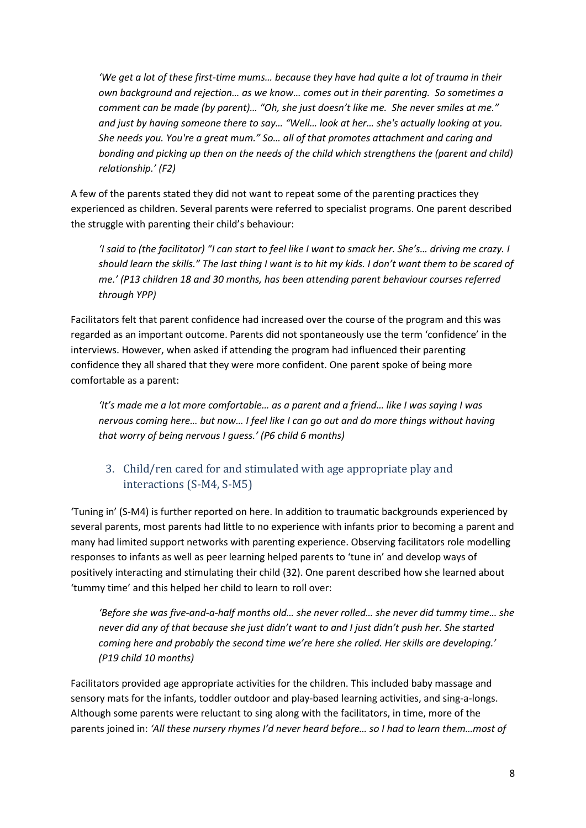*'We get a lot of these first-time mums… because they have had quite a lot of trauma in their own background and rejection… as we know… comes out in their parenting. So sometimes a comment can be made (by parent)… "Oh, she just doesn't like me. She never smiles at me." and just by having someone there to say… "Well… look at her… she's actually looking at you. She needs you. You're a great mum." So… all of that promotes attachment and caring and bonding and picking up then on the needs of the child which strengthens the (parent and child) relationship.' (F2)*

A few of the parents stated they did not want to repeat some of the parenting practices they experienced as children. Several parents were referred to specialist programs. One parent described the struggle with parenting their child's behaviour:

*'I said to (the facilitator) "I can start to feel like I want to smack her. She's… driving me crazy. I should learn the skills." The last thing I want is to hit my kids. I don't want them to be scared of me.' (P13 children 18 and 30 months, has been attending parent behaviour courses referred through YPP)*

Facilitators felt that parent confidence had increased over the course of the program and this was regarded as an important outcome. Parents did not spontaneously use the term 'confidence' in the interviews. However, when asked if attending the program had influenced their parenting confidence they all shared that they were more confident. One parent spoke of being more comfortable as a parent:

*'It's made me a lot more comfortable… as a parent and a friend… like I was saying I was nervous coming here… but now… I feel like I can go out and do more things without having that worry of being nervous I guess.' (P6 child 6 months)*

### 3. Child/ren cared for and stimulated with age appropriate play and interactions (S-M4, S-M5)

'Tuning in' (S-M4) is further reported on here. In addition to traumatic backgrounds experienced by several parents, most parents had little to no experience with infants prior to becoming a parent and many had limited support networks with parenting experience. Observing facilitators role modelling responses to infants as well as peer learning helped parents to 'tune in' and develop ways of positively interacting and stimulating their child (32). One parent described how she learned about 'tummy time' and this helped her child to learn to roll over:

*'Before she was five-and-a-half months old… she never rolled… she never did tummy time… she never did any of that because she just didn't want to and I just didn't push her. She started coming here and probably the second time we're here she rolled. Her skills are developing.' (P19 child 10 months)*

Facilitators provided age appropriate activities for the children. This included baby massage and sensory mats for the infants, toddler outdoor and play-based learning activities, and sing-a-longs. Although some parents were reluctant to sing along with the facilitators, in time, more of the parents joined in: *'All these nursery rhymes I'd never heard before… so I had to learn them…most of*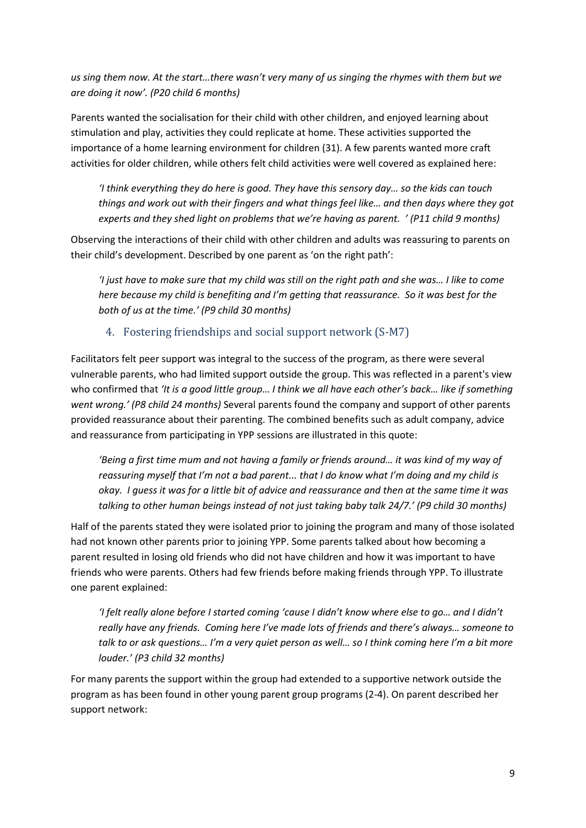*us sing them now. At the start…there wasn't very many of us singing the rhymes with them but we are doing it now'. (P20 child 6 months)*

Parents wanted the socialisation for their child with other children, and enjoyed learning about stimulation and play, activities they could replicate at home. These activities supported the importance of a home learning environment for children (31). A few parents wanted more craft activities for older children, while others felt child activities were well covered as explained here:

*'I think everything they do here is good. They have this sensory day… so the kids can touch things and work out with their fingers and what things feel like… and then days where they got experts and they shed light on problems that we're having as parent. ' (P11 child 9 months)*

Observing the interactions of their child with other children and adults was reassuring to parents on their child's development. Described by one parent as 'on the right path':

*'I just have to make sure that my child was still on the right path and she was… I like to come here because my child is benefiting and I'm getting that reassurance. So it was best for the both of us at the time.' (P9 child 30 months)*

### 4. Fostering friendships and social support network (S-M7)

Facilitators felt peer support was integral to the success of the program, as there were several vulnerable parents, who had limited support outside the group. This was reflected in a parent's view who confirmed that *'It is a good little group… I think we all have each other's back… like if something went wrong.' (P8 child 24 months)* Several parents found the company and support of other parents provided reassurance about their parenting. The combined benefits such as adult company, advice and reassurance from participating in YPP sessions are illustrated in this quote:

*'Being a first time mum and not having a family or friends around… it was kind of my way of reassuring myself that I'm not a bad parent... that I do know what I'm doing and my child is okay. I guess it was for a little bit of advice and reassurance and then at the same time it was talking to other human beings instead of not just taking baby talk 24/7.' (P9 child 30 months)*

Half of the parents stated they were isolated prior to joining the program and many of those isolated had not known other parents prior to joining YPP. Some parents talked about how becoming a parent resulted in losing old friends who did not have children and how it was important to have friends who were parents. Others had few friends before making friends through YPP. To illustrate one parent explained:

*'I felt really alone before I started coming 'cause I didn't know where else to go… and I didn't really have any friends. Coming here I've made lots of friends and there's always… someone to talk to or ask questions… I'm a very quiet person as well… so I think coming here I'm a bit more louder.' (P3 child 32 months)*

For many parents the support within the group had extended to a supportive network outside the program as has been found in other young parent group programs (2-4). On parent described her support network: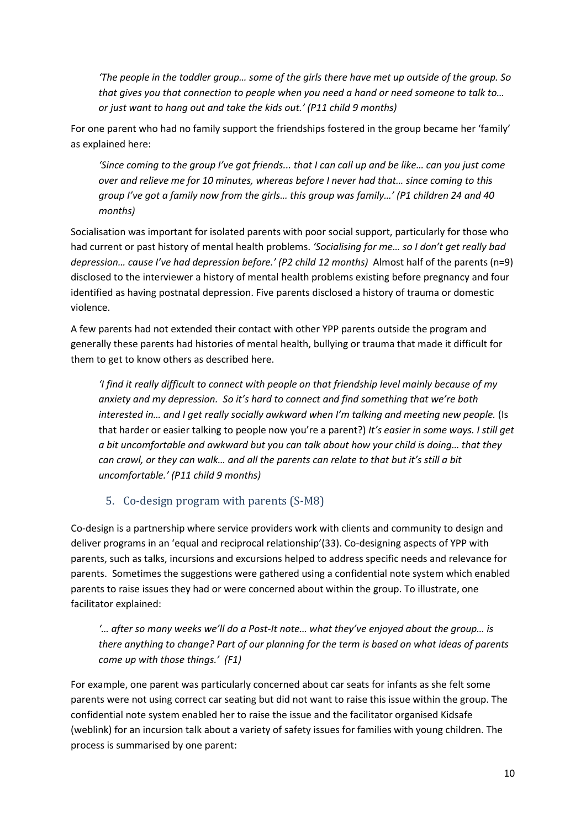*'The people in the toddler group… some of the girls there have met up outside of the group. So that gives you that connection to people when you need a hand or need someone to talk to… or just want to hang out and take the kids out.' (P11 child 9 months)*

For one parent who had no family support the friendships fostered in the group became her 'family' as explained here:

*'Since coming to the group I've got friends... that I can call up and be like… can you just come over and relieve me for 10 minutes, whereas before I never had that… since coming to this group I've got a family now from the girls… this group was family…' (P1 children 24 and 40 months)*

Socialisation was important for isolated parents with poor social support, particularly for those who had current or past history of mental health problems. *'Socialising for me… so I don't get really bad depression… cause I've had depression before.' (P2 child 12 months)* Almost half of the parents (n=9) disclosed to the interviewer a history of mental health problems existing before pregnancy and four identified as having postnatal depression. Five parents disclosed a history of trauma or domestic violence.

A few parents had not extended their contact with other YPP parents outside the program and generally these parents had histories of mental health, bullying or trauma that made it difficult for them to get to know others as described here.

*'I find it really difficult to connect with people on that friendship level mainly because of my anxiety and my depression. So it's hard to connect and find something that we're both interested in… and I get really socially awkward when I'm talking and meeting new people.* (Is that harder or easier talking to people now you're a parent?) *It's easier in some ways. I still get a bit uncomfortable and awkward but you can talk about how your child is doing… that they can crawl, or they can walk… and all the parents can relate to that but it's still a bit uncomfortable.' (P11 child 9 months)*

### 5. Co-design program with parents (S-M8)

Co-design is a partnership where service providers work with clients and community to design and deliver programs in an 'equal and reciprocal relationship'(33). Co-designing aspects of YPP with parents, such as talks, incursions and excursions helped to address specific needs and relevance for parents. Sometimes the suggestions were gathered using a confidential note system which enabled parents to raise issues they had or were concerned about within the group. To illustrate, one facilitator explained:

*'… after so many weeks we'll do a Post-It note… what they've enjoyed about the group… is there anything to change? Part of our planning for the term is based on what ideas of parents come up with those things.' (F1)*

For example, one parent was particularly concerned about car seats for infants as she felt some parents were not using correct car seating but did not want to raise this issue within the group. The confidential note system enabled her to raise the issue and the facilitator organised Kidsafe (weblink) for an incursion talk about a variety of safety issues for families with young children. The process is summarised by one parent: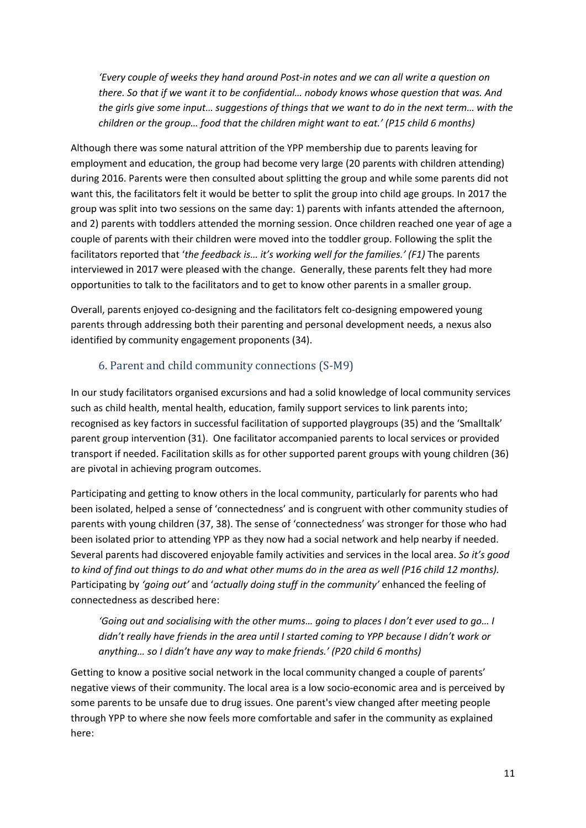*'Every couple of weeks they hand around Post-in notes and we can all write a question on there. So that if we want it to be confidential… nobody knows whose question that was. And the girls give some input… suggestions of things that we want to do in the next term… with the children or the group… food that the children might want to eat.' (P15 child 6 months)*

Although there was some natural attrition of the YPP membership due to parents leaving for employment and education, the group had become very large (20 parents with children attending) during 2016. Parents were then consulted about splitting the group and while some parents did not want this, the facilitators felt it would be better to split the group into child age groups. In 2017 the group was split into two sessions on the same day: 1) parents with infants attended the afternoon, and 2) parents with toddlers attended the morning session. Once children reached one year of age a couple of parents with their children were moved into the toddler group. Following the split the facilitators reported that '*the feedback is… it's working well for the families.' (F1)* The parents interviewed in 2017 were pleased with the change. Generally, these parents felt they had more opportunities to talk to the facilitators and to get to know other parents in a smaller group.

Overall, parents enjoyed co-designing and the facilitators felt co-designing empowered young parents through addressing both their parenting and personal development needs, a nexus also identified by community engagement proponents (34).

### 6. Parent and child community connections (S-M9)

In our study facilitators organised excursions and had a solid knowledge of local community services such as child health, mental health, education, family support services to link parents into; recognised as key factors in successful facilitation of supported playgroups (35) and the 'Smalltalk' parent group intervention (31). One facilitator accompanied parents to local services or provided transport if needed. Facilitation skills as for other supported parent groups with young children (36) are pivotal in achieving program outcomes.

Participating and getting to know others in the local community, particularly for parents who had been isolated, helped a sense of 'connectedness' and is congruent with other community studies of parents with young children (37, 38). The sense of 'connectedness' was stronger for those who had been isolated prior to attending YPP as they now had a social network and help nearby if needed. Several parents had discovered enjoyable family activities and services in the local area. *So it's good to kind of find out things to do and what other mums do in the area as well (P16 child 12 months).*  Participating by *'going out'* and '*actually doing stuff in the community'* enhanced the feeling of connectedness as described here:

*'Going out and socialising with the other mums… going to places I don't ever used to go… I didn't really have friends in the area until I started coming to YPP because I didn't work or anything… so I didn't have any way to make friends.' (P20 child 6 months)*

Getting to know a positive social network in the local community changed a couple of parents' negative views of their community. The local area is a low socio-economic area and is perceived by some parents to be unsafe due to drug issues. One parent's view changed after meeting people through YPP to where she now feels more comfortable and safer in the community as explained here: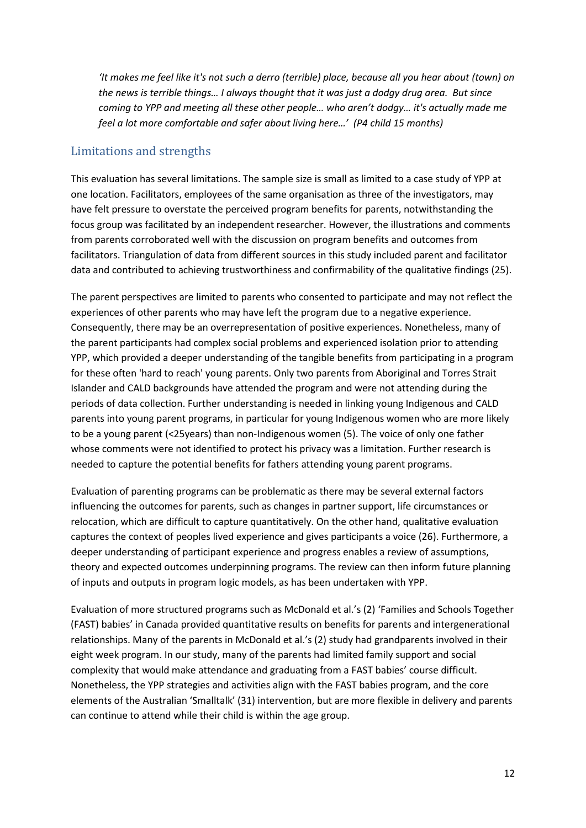*'It makes me feel like it's not such a derro (terrible) place, because all you hear about (town) on the news is terrible things… I always thought that it was just a dodgy drug area. But since coming to YPP and meeting all these other people… who aren't dodgy… it's actually made me feel a lot more comfortable and safer about living here…' (P4 child 15 months)*

#### Limitations and strengths

This evaluation has several limitations. The sample size is small as limited to a case study of YPP at one location. Facilitators, employees of the same organisation as three of the investigators, may have felt pressure to overstate the perceived program benefits for parents, notwithstanding the focus group was facilitated by an independent researcher. However, the illustrations and comments from parents corroborated well with the discussion on program benefits and outcomes from facilitators. Triangulation of data from different sources in this study included parent and facilitator data and contributed to achieving trustworthiness and confirmability of the qualitative findings (25).

The parent perspectives are limited to parents who consented to participate and may not reflect the experiences of other parents who may have left the program due to a negative experience. Consequently, there may be an overrepresentation of positive experiences. Nonetheless, many of the parent participants had complex social problems and experienced isolation prior to attending YPP, which provided a deeper understanding of the tangible benefits from participating in a program for these often 'hard to reach' young parents. Only two parents from Aboriginal and Torres Strait Islander and CALD backgrounds have attended the program and were not attending during the periods of data collection. Further understanding is needed in linking young Indigenous and CALD parents into young parent programs, in particular for young Indigenous women who are more likely to be a young parent (<25years) than non-Indigenous women (5). The voice of only one father whose comments were not identified to protect his privacy was a limitation. Further research is needed to capture the potential benefits for fathers attending young parent programs.

Evaluation of parenting programs can be problematic as there may be several external factors influencing the outcomes for parents, such as changes in partner support, life circumstances or relocation, which are difficult to capture quantitatively. On the other hand, qualitative evaluation captures the context of peoples lived experience and gives participants a voice (26). Furthermore, a deeper understanding of participant experience and progress enables a review of assumptions, theory and expected outcomes underpinning programs. The review can then inform future planning of inputs and outputs in program logic models, as has been undertaken with YPP.

Evaluation of more structured programs such as McDonald et al.'s (2) 'Families and Schools Together (FAST) babies' in Canada provided quantitative results on benefits for parents and intergenerational relationships. Many of the parents in McDonald et al.'s (2) study had grandparents involved in their eight week program. In our study, many of the parents had limited family support and social complexity that would make attendance and graduating from a FAST babies' course difficult. Nonetheless, the YPP strategies and activities align with the FAST babies program, and the core elements of the Australian 'Smalltalk' (31) intervention, but are more flexible in delivery and parents can continue to attend while their child is within the age group.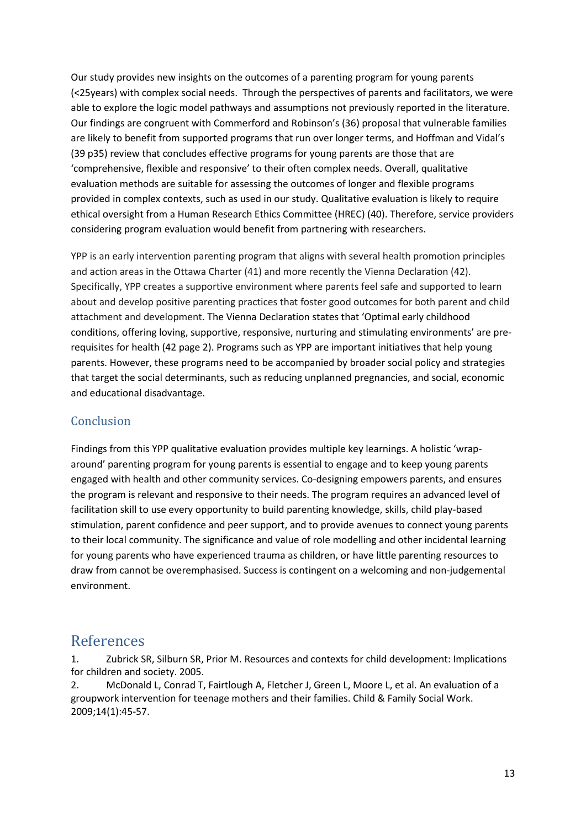Our study provides new insights on the outcomes of a parenting program for young parents (<25years) with complex social needs. Through the perspectives of parents and facilitators, we were able to explore the logic model pathways and assumptions not previously reported in the literature. Our findings are congruent with Commerford and Robinson's (36) proposal that vulnerable families are likely to benefit from supported programs that run over longer terms, and Hoffman and Vidal's (39 p35) review that concludes effective programs for young parents are those that are 'comprehensive, flexible and responsive' to their often complex needs. Overall, qualitative evaluation methods are suitable for assessing the outcomes of longer and flexible programs provided in complex contexts, such as used in our study. Qualitative evaluation is likely to require ethical oversight from a Human Research Ethics Committee (HREC) (40). Therefore, service providers considering program evaluation would benefit from partnering with researchers.

YPP is an early intervention parenting program that aligns with several health promotion principles and action areas in the Ottawa Charter (41) and more recently the Vienna Declaration (42). Specifically, YPP creates a supportive environment where parents feel safe and supported to learn about and develop positive parenting practices that foster good outcomes for both parent and child attachment and development. The Vienna Declaration states that 'Optimal early childhood conditions, offering loving, supportive, responsive, nurturing and stimulating environments' are prerequisites for health (42 page 2). Programs such as YPP are important initiatives that help young parents. However, these programs need to be accompanied by broader social policy and strategies that target the social determinants, such as reducing unplanned pregnancies, and social, economic and educational disadvantage.

### Conclusion

Findings from this YPP qualitative evaluation provides multiple key learnings. A holistic 'wraparound' parenting program for young parents is essential to engage and to keep young parents engaged with health and other community services. Co-designing empowers parents, and ensures the program is relevant and responsive to their needs. The program requires an advanced level of facilitation skill to use every opportunity to build parenting knowledge, skills, child play-based stimulation, parent confidence and peer support, and to provide avenues to connect young parents to their local community. The significance and value of role modelling and other incidental learning for young parents who have experienced trauma as children, or have little parenting resources to draw from cannot be overemphasised. Success is contingent on a welcoming and non-judgemental environment.

### References

1. Zubrick SR, Silburn SR, Prior M. Resources and contexts for child development: Implications for children and society. 2005.

2. McDonald L, Conrad T, Fairtlough A, Fletcher J, Green L, Moore L, et al. An evaluation of a groupwork intervention for teenage mothers and their families. Child & Family Social Work. 2009;14(1):45-57.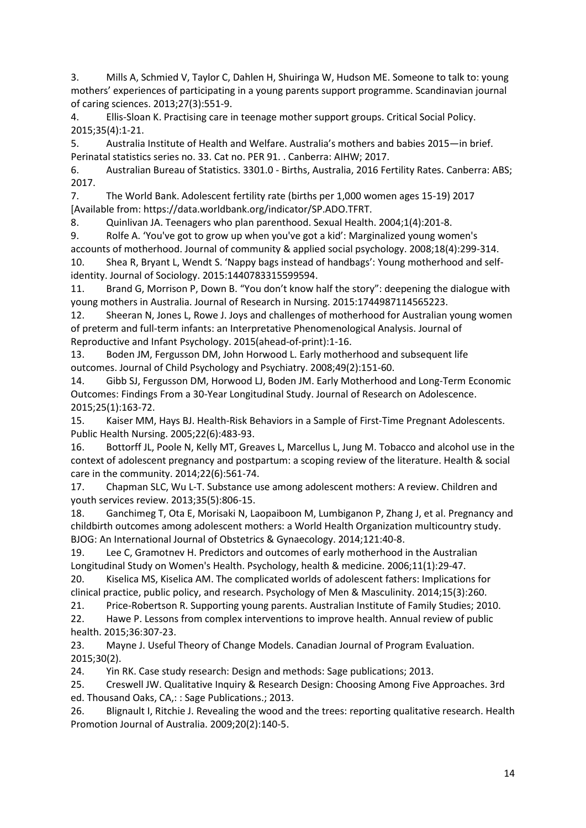3. Mills A, Schmied V, Taylor C, Dahlen H, Shuiringa W, Hudson ME. Someone to talk to: young mothers' experiences of participating in a young parents support programme. Scandinavian journal of caring sciences. 2013;27(3):551-9.

4. Ellis-Sloan K. Practising care in teenage mother support groups. Critical Social Policy. 2015;35(4):1-21.

5. Australia Institute of Health and Welfare. Australia's mothers and babies 2015—in brief. Perinatal statistics series no. 33. Cat no. PER 91. . Canberra: AIHW; 2017.

6. Australian Bureau of Statistics. 3301.0 - Births, Australia, 2016 Fertility Rates. Canberra: ABS; 2017.

7. The World Bank. Adolescent fertility rate (births per 1,000 women ages 15-19) 2017 [Available from: https://data.worldbank.org/indicator/SP.ADO.TFRT.

8. Quinlivan JA. Teenagers who plan parenthood. Sexual Health. 2004;1(4):201-8.

9. Rolfe A. 'You've got to grow up when you've got a kid': Marginalized young women's accounts of motherhood. Journal of community & applied social psychology. 2008;18(4):299-314.

10. Shea R, Bryant L, Wendt S. 'Nappy bags instead of handbags': Young motherhood and selfidentity. Journal of Sociology. 2015:1440783315599594.

11. Brand G, Morrison P, Down B. "You don't know half the story": deepening the dialogue with young mothers in Australia. Journal of Research in Nursing. 2015:1744987114565223.

12. Sheeran N, Jones L, Rowe J. Joys and challenges of motherhood for Australian young women of preterm and full-term infants: an Interpretative Phenomenological Analysis. Journal of Reproductive and Infant Psychology. 2015(ahead-of-print):1-16.

13. Boden JM, Fergusson DM, John Horwood L. Early motherhood and subsequent life outcomes. Journal of Child Psychology and Psychiatry. 2008;49(2):151-60.

14. Gibb SJ, Fergusson DM, Horwood LJ, Boden JM. Early Motherhood and Long-Term Economic Outcomes: Findings From a 30-Year Longitudinal Study. Journal of Research on Adolescence. 2015;25(1):163-72.

15. Kaiser MM, Hays BJ. Health-Risk Behaviors in a Sample of First-Time Pregnant Adolescents. Public Health Nursing. 2005;22(6):483-93.

16. Bottorff JL, Poole N, Kelly MT, Greaves L, Marcellus L, Jung M. Tobacco and alcohol use in the context of adolescent pregnancy and postpartum: a scoping review of the literature. Health & social care in the community. 2014;22(6):561-74.

17. Chapman SLC, Wu L-T. Substance use among adolescent mothers: A review. Children and youth services review. 2013;35(5):806-15.

18. Ganchimeg T, Ota E, Morisaki N, Laopaiboon M, Lumbiganon P, Zhang J, et al. Pregnancy and childbirth outcomes among adolescent mothers: a World Health Organization multicountry study. BJOG: An International Journal of Obstetrics & Gynaecology. 2014;121:40-8.

19. Lee C, Gramotnev H. Predictors and outcomes of early motherhood in the Australian Longitudinal Study on Women's Health. Psychology, health & medicine. 2006;11(1):29-47.

20. Kiselica MS, Kiselica AM. The complicated worlds of adolescent fathers: Implications for clinical practice, public policy, and research. Psychology of Men & Masculinity. 2014;15(3):260.

21. Price-Robertson R. Supporting young parents. Australian Institute of Family Studies; 2010.

22. Hawe P. Lessons from complex interventions to improve health. Annual review of public health. 2015;36:307-23.

23. Mayne J. Useful Theory of Change Models. Canadian Journal of Program Evaluation. 2015;30(2).

24. Yin RK. Case study research: Design and methods: Sage publications; 2013.

25. Creswell JW. Qualitative Inquiry & Research Design: Choosing Among Five Approaches. 3rd ed. Thousand Oaks, CA,: : Sage Publications.; 2013.

26. Blignault I, Ritchie J. Revealing the wood and the trees: reporting qualitative research. Health Promotion Journal of Australia. 2009;20(2):140-5.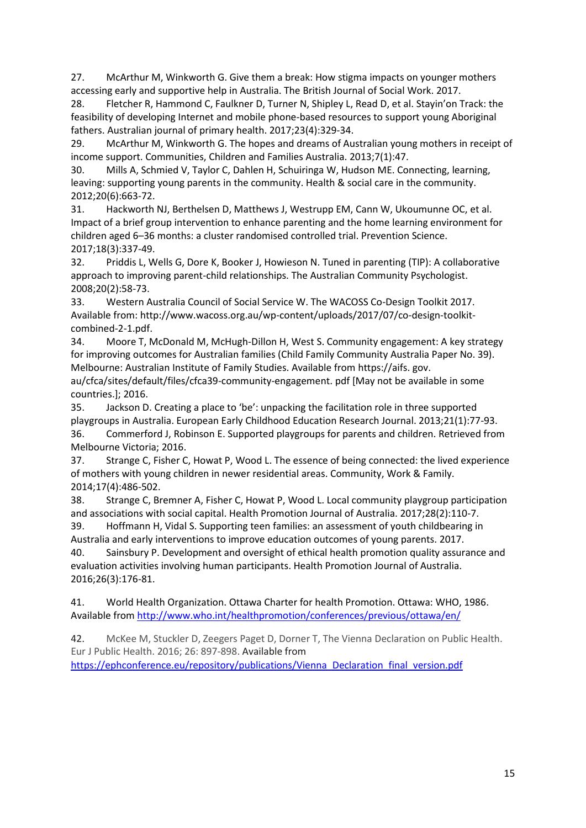27. McArthur M, Winkworth G. Give them a break: How stigma impacts on younger mothers accessing early and supportive help in Australia. The British Journal of Social Work. 2017.

28. Fletcher R, Hammond C, Faulkner D, Turner N, Shipley L, Read D, et al. Stayin'on Track: the feasibility of developing Internet and mobile phone-based resources to support young Aboriginal fathers. Australian journal of primary health. 2017;23(4):329-34.

29. McArthur M, Winkworth G. The hopes and dreams of Australian young mothers in receipt of income support. Communities, Children and Families Australia. 2013;7(1):47.

30. Mills A, Schmied V, Taylor C, Dahlen H, Schuiringa W, Hudson ME. Connecting, learning, leaving: supporting young parents in the community. Health & social care in the community. 2012;20(6):663-72.

31. Hackworth NJ, Berthelsen D, Matthews J, Westrupp EM, Cann W, Ukoumunne OC, et al. Impact of a brief group intervention to enhance parenting and the home learning environment for children aged 6–36 months: a cluster randomised controlled trial. Prevention Science. 2017;18(3):337-49.

32. Priddis L, Wells G, Dore K, Booker J, Howieson N. Tuned in parenting (TIP): A collaborative approach to improving parent-child relationships. The Australian Community Psychologist. 2008;20(2):58-73.

33. Western Australia Council of Social Service W. The WACOSS Co-Design Toolkit 2017. Available from: http://www.wacoss.org.au/wp-content/uploads/2017/07/co-design-toolkitcombined-2-1.pdf.

34. Moore T, McDonald M, McHugh-Dillon H, West S. Community engagement: A key strategy for improving outcomes for Australian families (Child Family Community Australia Paper No. 39). Melbourne: Australian Institute of Family Studies. Available from https://aifs. gov.

au/cfca/sites/default/files/cfca39-community-engagement. pdf [May not be available in some countries.]; 2016.

35. Jackson D. Creating a place to 'be': unpacking the facilitation role in three supported playgroups in Australia. European Early Childhood Education Research Journal. 2013;21(1):77-93. 36. Commerford J, Robinson E. Supported playgroups for parents and children. Retrieved from Melbourne Victoria; 2016.

37. Strange C, Fisher C, Howat P, Wood L. The essence of being connected: the lived experience of mothers with young children in newer residential areas. Community, Work & Family. 2014;17(4):486-502.

38. Strange C, Bremner A, Fisher C, Howat P, Wood L. Local community playgroup participation and associations with social capital. Health Promotion Journal of Australia. 2017;28(2):110-7.

39. Hoffmann H, Vidal S. Supporting teen families: an assessment of youth childbearing in Australia and early interventions to improve education outcomes of young parents. 2017.

40. Sainsbury P. Development and oversight of ethical health promotion quality assurance and evaluation activities involving human participants. Health Promotion Journal of Australia. 2016;26(3):176-81.

41. World Health Organization. Ottawa Charter for health Promotion. Ottawa: WHO, 1986. Available from <http://www.who.int/healthpromotion/conferences/previous/ottawa/en/>

42. McKee M, Stuckler D, Zeegers Paget D, Dorner T, The Vienna Declaration on Public Health. Eur J Public Health. 2016; 26: 897-898. Available from

[https://ephconference.eu/repository/publications/Vienna\\_Declaration\\_final\\_version.pdf](https://ephconference.eu/repository/publications/Vienna_Declaration_final_version.pdf)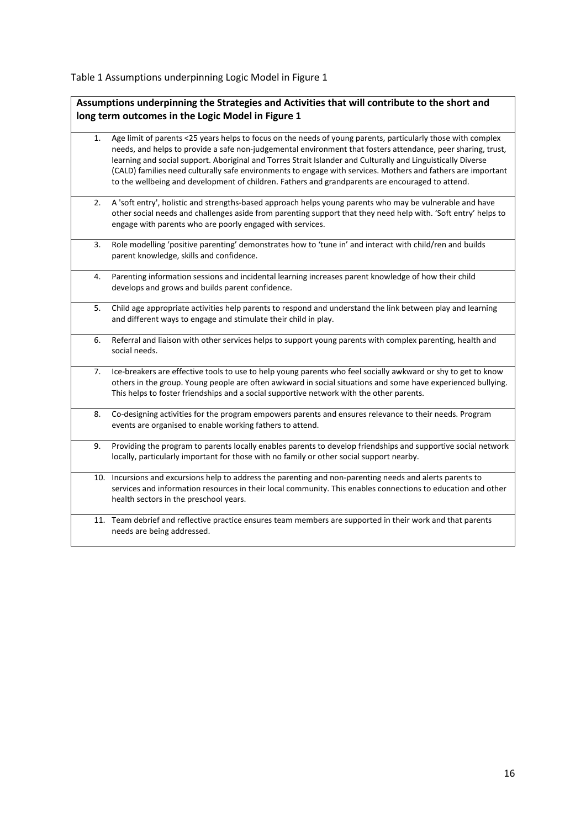Table 1 Assumptions underpinning Logic Model in Figure 1

**Assumptions underpinning the Strategies and Activities that will contribute to the short and long term outcomes in the Logic Model in Figure 1**

- 1. Age limit of parents <25 years helps to focus on the needs of young parents, particularly those with complex needs, and helps to provide a safe non-judgemental environment that fosters attendance, peer sharing, trust, learning and social support. Aboriginal and Torres Strait Islander and Culturally and Linguistically Diverse (CALD) families need culturally safe environments to engage with services. Mothers and fathers are important to the wellbeing and development of children. Fathers and grandparents are encouraged to attend.
- 2. A 'soft entry', holistic and strengths-based approach helps young parents who may be vulnerable and have other social needs and challenges aside from parenting support that they need help with. 'Soft entry' helps to engage with parents who are poorly engaged with services.
- 3. Role modelling 'positive parenting' demonstrates how to 'tune in' and interact with child/ren and builds parent knowledge, skills and confidence.
- 4. Parenting information sessions and incidental learning increases parent knowledge of how their child develops and grows and builds parent confidence.
- 5. Child age appropriate activities help parents to respond and understand the link between play and learning and different ways to engage and stimulate their child in play.
- 6. Referral and liaison with other services helps to support young parents with complex parenting, health and social needs.
- 7. Ice-breakers are effective tools to use to help young parents who feel socially awkward or shy to get to know others in the group. Young people are often awkward in social situations and some have experienced bullying. This helps to foster friendships and a social supportive network with the other parents.
- 8. Co-designing activities for the program empowers parents and ensures relevance to their needs. Program events are organised to enable working fathers to attend.
- 9. Providing the program to parents locally enables parents to develop friendships and supportive social network locally, particularly important for those with no family or other social support nearby.
- 10. Incursions and excursions help to address the parenting and non-parenting needs and alerts parents to services and information resources in their local community. This enables connections to education and other health sectors in the preschool years.
- 11. Team debrief and reflective practice ensures team members are supported in their work and that parents needs are being addressed.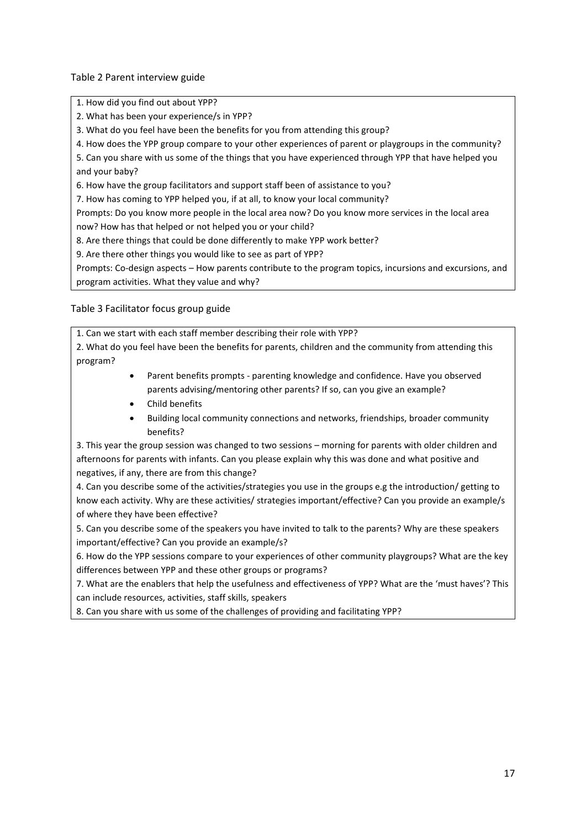Table 2 Parent interview guide

1. How did you find out about YPP?

2. What has been your experience/s in YPP?

3. What do you feel have been the benefits for you from attending this group?

4. How does the YPP group compare to your other experiences of parent or playgroups in the community?

5. Can you share with us some of the things that you have experienced through YPP that have helped you and your baby?

6. How have the group facilitators and support staff been of assistance to you?

7. How has coming to YPP helped you, if at all, to know your local community?

Prompts: Do you know more people in the local area now? Do you know more services in the local area now? How has that helped or not helped you or your child?

8. Are there things that could be done differently to make YPP work better?

9. Are there other things you would like to see as part of YPP?

Prompts: Co-design aspects – How parents contribute to the program topics, incursions and excursions, and program activities. What they value and why?

Table 3 Facilitator focus group guide

1. Can we start with each staff member describing their role with YPP?

2. What do you feel have been the benefits for parents, children and the community from attending this program?

- Parent benefits prompts parenting knowledge and confidence. Have you observed parents advising/mentoring other parents? If so, can you give an example?
- Child benefits
- Building local community connections and networks, friendships, broader community benefits?

3. This year the group session was changed to two sessions – morning for parents with older children and afternoons for parents with infants. Can you please explain why this was done and what positive and negatives, if any, there are from this change?

4. Can you describe some of the activities/strategies you use in the groups e.g the introduction/ getting to know each activity. Why are these activities/ strategies important/effective? Can you provide an example/s of where they have been effective?

5. Can you describe some of the speakers you have invited to talk to the parents? Why are these speakers important/effective? Can you provide an example/s?

6. How do the YPP sessions compare to your experiences of other community playgroups? What are the key differences between YPP and these other groups or programs?

7. What are the enablers that help the usefulness and effectiveness of YPP? What are the 'must haves'? This can include resources, activities, staff skills, speakers

8. Can you share with us some of the challenges of providing and facilitating YPP?